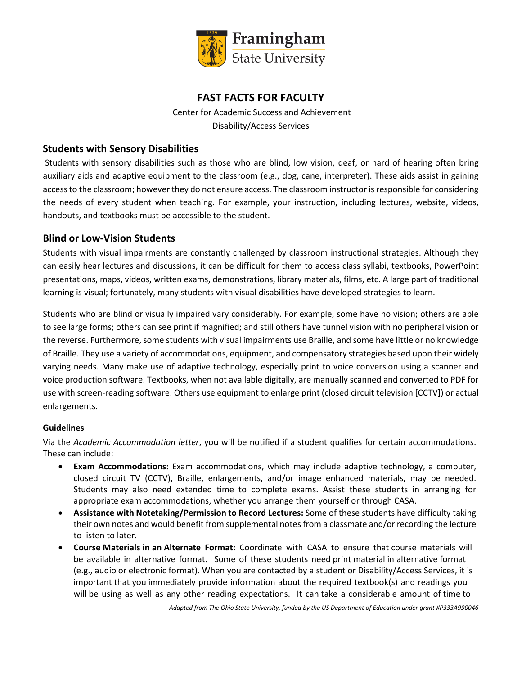

# **FAST FACTS FOR FACULTY**

Center for Academic Success and Achievement Disability/Access Services

### **Students with Sensory Disabilities**

Students with sensory disabilities such as those who are blind, low vision, deaf, or hard of hearing often bring auxiliary aids and adaptive equipment to the classroom (e.g., dog, cane, interpreter). These aids assist in gaining access to the classroom; however they do not ensure access. The classroom instructor is responsible for considering the needs of every student when teaching. For example, your instruction, including lectures, website, videos, handouts, and textbooks must be accessible to the student.

### **Blind or Low-Vision Students**

Students with visual impairments are constantly challenged by classroom instructional strategies. Although they can easily hear lectures and discussions, it can be difficult for them to access class syllabi, textbooks, PowerPoint presentations, maps, videos, written exams, demonstrations, library materials, films, etc. A large part of traditional learning is visual; fortunately, many students with visual disabilities have developed strategies to learn.

Students who are blind or visually impaired vary considerably. For example, some have no vision; others are able to see large forms; others can see print if magnified; and still others have tunnel vision with no peripheral vision or the reverse. Furthermore, some students with visual impairments use Braille, and some have little or no knowledge of Braille. They use a variety of accommodations, equipment, and compensatory strategies based upon their widely varying needs. Many make use of adaptive technology, especially print to voice conversion using a scanner and voice production software. Textbooks, when not available digitally, are manually scanned and converted to PDF for use with screen-reading software. Others use equipment to enlarge print (closed circuit television [CCTV]) or actual enlargements.

### **Guidelines**

Via the *Academic Accommodation letter*, you will be notified if a student qualifies for certain accommodations. These can include:

- **Exam Accommodations:** Exam accommodations, which may include adaptive technology, a computer, closed circuit TV (CCTV), Braille, enlargements, and/or image enhanced materials, may be needed. Students may also need extended time to complete exams. Assist these students in arranging for appropriate exam accommodations, whether you arrange them yourself or through CASA.
- **Assistance with Notetaking/Permission to Record Lectures:** Some of these students have difficulty taking their own notes and would benefit from supplemental notes from a classmate and/or recording the lecture to listen to later.
- **Course Materials in an Alternate Format:** Coordinate with CASA to ensure that course materials will be available in alternative format. Some of these students need print material in alternative format (e.g., audio or electronic format). When you are contacted by a student or Disability/Access Services, it is important that you immediately provide information about the required textbook(s) and readings you will be using as well as any other reading expectations. It can take a considerable amount of time to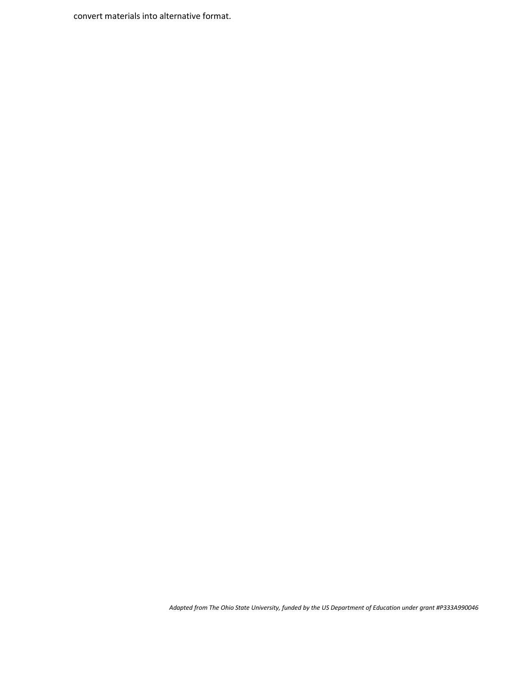convert materials into alternative format.

*Adapted from The Ohio State University, funded by the US Department of Education under grant #P333A990046*